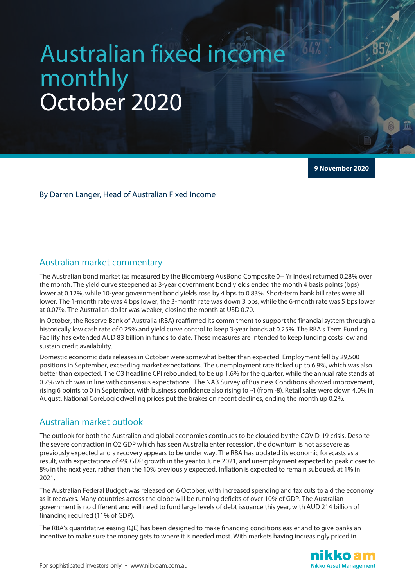# Australian fixed income monthly October 2020

**9 November 2020**

By Darren Langer, Head of Australian Fixed Income

#### Australian market commentary

The Australian bond market (as measured by the Bloomberg AusBond Composite 0+ Yr Index) returned 0.28% over the month. The yield curve steepened as 3-year government bond yields ended the month 4 basis points (bps) lower at 0.12%, while 10-year government bond yields rose by 4 bps to 0.83%. Short-term bank bill rates were all lower. The 1-month rate was 4 bps lower, the 3-month rate was down 3 bps, while the 6-month rate was 5 bps lower at 0.07%. The Australian dollar was weaker, closing the month at USD 0.70.

In October, the Reserve Bank of Australia (RBA) reaffirmed its commitment to support the financial system through a historically low cash rate of 0.25% and yield curve control to keep 3-year bonds at 0.25%. The RBA's Term Funding Facility has extended AUD 83 billion in funds to date. These measures are intended to keep funding costs low and sustain credit availability.

Domestic economic data releases in October were somewhat better than expected. Employment fell by 29,500 positions in September, exceeding market expectations. The unemployment rate ticked up to 6.9%, which was also better than expected. The Q3 headline CPI rebounded, to be up 1.6% for the quarter, while the annual rate stands at 0.7% which was in line with consensus expectations. The NAB Survey of Business Conditions showed improvement, rising 6 points to 0 in September, with business confidence also rising to -4 (from -8). Retail sales were down 4.0% in August. National CoreLogic dwelling prices put the brakes on recent declines, ending the month up 0.2%.

#### Australian market outlook

The outlook for both the Australian and global economies continues to be clouded by the COVID-19 crisis. Despite the severe contraction in Q2 GDP which has seen Australia enter recession, the downturn is not as severe as previously expected and a recovery appears to be under way. The RBA has updated its economic forecasts as a result, with expectations of 4% GDP growth in the year to June 2021, and unemployment expected to peak closer to 8% in the next year, rather than the 10% previously expected. Inflation is expected to remain subdued, at 1% in 2021.

The Australian Federal Budget was released on 6 October, with increased spending and tax cuts to aid the economy as it recovers. Many countries across the globe will be running deficits of over 10% of GDP. The Australian government is no different and will need to fund large levels of debt issuance this year, with AUD 214 billion of financing required (11% of GDP).

The RBA's quantitative easing (QE) has been designed to make financing conditions easier and to give banks an incentive to make sure the money gets to where it is needed most. With markets having increasingly priced in

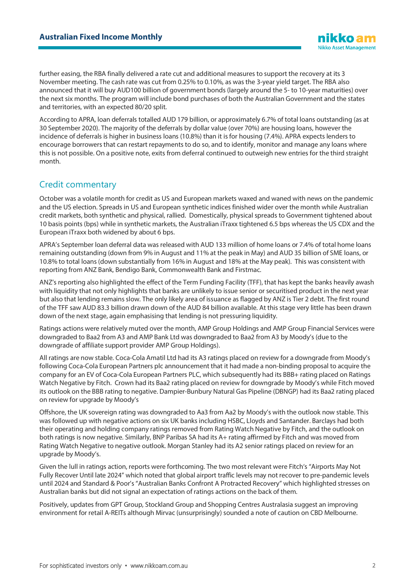further easing, the RBA finally delivered a rate cut and additional measures to support the recovery at its 3 November meeting. The cash rate was cut from 0.25% to 0.10%, as was the 3-year yield target. The RBA also announced that it will buy AUD100 billion of government bonds (largely around the 5- to 10-year maturities) over the next six months. The program will include bond purchases of both the Australian Government and the states and territories, with an expected 80/20 split.

According to APRA, loan deferrals totalled AUD 179 billion, or approximately 6.7% of total loans outstanding (as at 30 September 2020). The majority of the deferrals by dollar value (over 70%) are housing loans, however the incidence of deferrals is higher in business loans (10.8%) than it is for housing (7.4%). APRA expects lenders to encourage borrowers that can restart repayments to do so, and to identify, monitor and manage any loans where this is not possible. On a positive note, exits from deferral continued to outweigh new entries for the third straight month.

## Credit commentary

October was a volatile month for credit as US and European markets waxed and waned with news on the pandemic and the US election. Spreads in US and European synthetic indices finished wider over the month while Australian credit markets, both synthetic and physical, rallied. Domestically, physical spreads to Government tightened about 10 basis points (bps) while in synthetic markets, the Australian iTraxx tightened 6.5 bps whereas the US CDX and the European iTraxx both widened by about 6 bps.

APRA's September loan deferral data was released with AUD 133 million of home loans or 7.4% of total home loans remaining outstanding (down from 9% in August and 11% at the peak in May) and AUD 35 billion of SME loans, or 10.8% to total loans (down substantially from 16% in August and 18% at the May peak). This was consistent with reporting from ANZ Bank, Bendigo Bank, Commonwealth Bank and Firstmac.

ANZ's reporting also highlighted the effect of the Term Funding Facility (TFF), that has kept the banks heavily awash with liquidity that not only highlights that banks are unlikely to issue senior or securitised product in the next year but also that lending remains slow. The only likely area of issuance as flagged by ANZ is Tier 2 debt. The first round of the TFF saw AUD 83.3 billion drawn down of the AUD 84 billion available. At this stage very little has been drawn down of the next stage, again emphasising that lending is not pressuring liquidity.

Ratings actions were relatively muted over the month, AMP Group Holdings and AMP Group Financial Services were downgraded to Baa2 from A3 and AMP Bank Ltd was downgraded to Baa2 from A3 by Moody's (due to the downgrade of affiliate support provider AMP Group Holdings).

All ratings are now stable. Coca-Cola Amatil Ltd had its A3 ratings placed on review for a downgrade from Moody's following Coca-Cola European Partners plc announcement that it had made a non-binding proposal to acquire the company for an EV of Coca-Cola European Partners PLC, which subsequently had its BBB+ rating placed on Ratings Watch Negative by Fitch. Crown had its Baa2 rating placed on review for downgrade by Moody's while Fitch moved its outlook on the BBB rating to negative. Dampier-Bunbury Natural Gas Pipeline (DBNGP) had its Baa2 rating placed on review for upgrade by Moody's

Offshore, the UK sovereign rating was downgraded to Aa3 from Aa2 by Moody's with the outlook now stable. This was followed up with negative actions on six UK banks including HSBC, Lloyds and Santander. Barclays had both their operating and holding company ratings removed from Rating Watch Negative by Fitch, and the outlook on both ratings is now negative. Similarly, BNP Paribas SA had its A+ rating affirmed by Fitch and was moved from Rating Watch Negative to negative outlook. Morgan Stanley had its A2 senior ratings placed on review for an upgrade by Moody's.

Given the lull in ratings action, reports were forthcoming. The two most relevant were Fitch's "Airports May Not Fully Recover Until late 2024" which noted that global airport traffic levels may not recover to pre-pandemic levels until 2024 and Standard & Poor's "Australian Banks Confront A Protracted Recovery" which highlighted stresses on Australian banks but did not signal an expectation of ratings actions on the back of them.

Positively, updates from GPT Group, Stockland Group and Shopping Centres Australasia suggest an improving environment for retail A-REITs although Mirvac (unsurprisingly) sounded a note of caution on CBD Melbourne.

**Nikko Asset Management**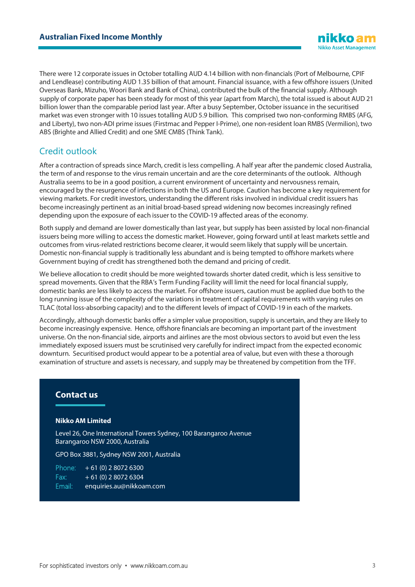There were 12 corporate issues in October totalling AUD 4.14 billion with non-financials (Port of Melbourne, CPIF and Lendlease) contributing AUD 1.35 billion of that amount. Financial issuance, with a few offshore issuers (United Overseas Bank, Mizuho, Woori Bank and Bank of China), contributed the bulk of the financial supply. Although supply of corporate paper has been steady for most of this year (apart from March), the total issued is about AUD 21 billion lower than the comparable period last year. After a busy September, October issuance in the securitised market was even stronger with 10 issues totalling AUD 5.9 billion. This comprised two non-conforming RMBS (AFG, and Liberty), two non-ADI prime issues (Firstmac and Pepper I-Prime), one non-resident loan RMBS (Vermilion), two ABS (Brighte and Allied Credit) and one SME CMBS (Think Tank).

## Credit outlook

After a contraction of spreads since March, credit is less compelling. A half year after the pandemic closed Australia, the term of and response to the virus remain uncertain and are the core determinants of the outlook. Although Australia seems to be in a good position, a current environment of uncertainty and nervousness remain, encouraged by the resurgence of infections in both the US and Europe. Caution has become a key requirement for viewing markets. For credit investors, understanding the different risks involved in individual credit issuers has become increasingly pertinent as an initial broad-based spread widening now becomes increasingly refined depending upon the exposure of each issuer to the COVID-19 affected areas of the economy.

Both supply and demand are lower domestically than last year, but supply has been assisted by local non-financial issuers being more willing to access the domestic market. However, going forward until at least markets settle and outcomes from virus-related restrictions become clearer, it would seem likely that supply will be uncertain. Domestic non-financial supply is traditionally less abundant and is being tempted to offshore markets where Government buying of credit has strengthened both the demand and pricing of credit.

We believe allocation to credit should be more weighted towards shorter dated credit, which is less sensitive to spread movements. Given that the RBA's Term Funding Facility will limit the need for local financial supply, domestic banks are less likely to access the market. For offshore issuers, caution must be applied due both to the long running issue of the complexity of the variations in treatment of capital requirements with varying rules on TLAC (total loss-absorbing capacity) and to the different levels of impact of COVID-19 in each of the markets.

Accordingly, although domestic banks offer a simpler value proposition, supply is uncertain, and they are likely to become increasingly expensive. Hence, offshore financials are becoming an important part of the investment universe. On the non-financial side, airports and airlines are the most obvious sectors to avoid but even the less immediately exposed issuers must be scrutinised very carefully for indirect impact from the expected economic downturn. Securitised product would appear to be a potential area of value, but even with these a thorough examination of structure and assets is necessary, and supply may be threatened by competition from the TFF.

#### **Contact us**

#### **Nikko AM Limited**

Level 26, One International Towers Sydney, 100 Barangaroo Avenue Barangaroo NSW 2000, Australia

GPO Box 3881, Sydney NSW 2001, Australia

Phone:  $+ 61 (0) 2 8072 6300$ Fax:  $+ 61 (0) 280726304$ Email: enquiries.au@nikkoam.com

iikko an **Nikko Asset Management**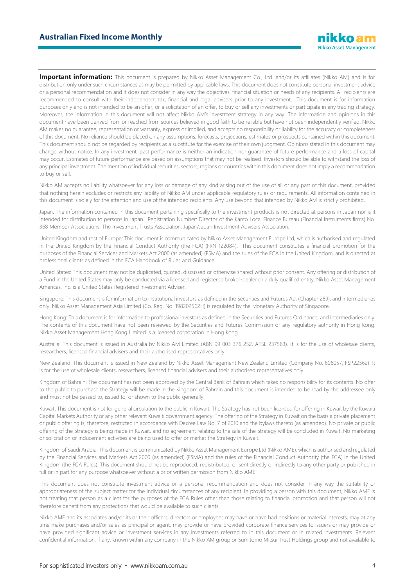**Important information:** This document is prepared by Nikko Asset Management Co., Ltd. and/or its affiliates (Nikko AM) and is for distribution only under such circumstances as may be permitted by applicable laws. This document does not constitute personal investment advice or a personal recommendation and it does not consider in any way the objectives, financial situation or needs of any recipients. All recipients are recommended to consult with their independent tax, financial and legal advisers prior to any investment. This document is for information purposes only and is not intended to be an offer, or a solicitation of an offer, to buy or sell any investments or participate in any trading strategy. Moreover, the information in this document will not affect Nikko AM's investment strategy in any way. The information and opinions in this document have been derived from or reached from sources believed in good faith to be reliable but have not been independently verified. Nikko AM makes no guarantee, representation or warranty, express or implied, and accepts no responsibility or liability for the accuracy or completeness of this document. No reliance should be placed on any assumptions, forecasts, projections, estimates or prospects contained within this document. This document should not be regarded by recipients as a substitute for the exercise of their own judgment. Opinions stated in this document may change without notice. In any investment, past performance is neither an indication nor guarantee of future performance and a loss of capital may occur. Estimates of future performance are based on assumptions that may not be realised. Investors should be able to withstand the loss of any principal investment. The mention of individual securities, sectors, regions or countries within this document does not imply a recommendation to buy or sell.

Nikko AM accepts no liability whatsoever for any loss or damage of any kind arising out of the use of all or any part of this document, provided that nothing herein excludes or restricts any liability of Nikko AM under applicable regulatory rules or requirements. All information contained in this document is solely for the attention and use of the intended recipients. Any use beyond that intended by Nikko AM is strictly prohibited.

Japan: The information contained in this document pertaining specifically to the investment products is not directed at persons in Japan nor is it intended for distribution to persons in Japan. Registration Number: Director of the Kanto Local Finance Bureau (Financial Instruments firms) No. 368 Member Associations: The Investment Trusts Association, Japan/Japan Investment Advisers Association.

United Kingdom and rest of Europe: This document is communicated by Nikko Asset Management Europe Ltd, which is authorised and regulated in the United Kingdom by the Financial Conduct Authority (the FCA) (FRN 122084). This document constitutes a financial promotion for the purposes of the Financial Services and Markets Act 2000 (as amended) (FSMA) and the rules of the FCA in the United Kingdom, and is directed at professional clients as defined in the FCA Handbook of Rules and Guidance.

United States: This document may not be duplicated, quoted, discussed or otherwise shared without prior consent. Any offering or distribution of a Fund in the United States may only be conducted via a licensed and registered broker-dealer or a duly qualified entity. Nikko Asset Management Americas, Inc. is a United States Registered Investment Adviser.

Singapore: This document is for information to institutional investors as defined in the Securities and Futures Act (Chapter 289), and intermediaries only. Nikko Asset Management Asia Limited (Co. Reg. No. 198202562H) is regulated by the Monetary Authority of Singapore.

Hong Kong: This document is for information to professional investors as defined in the Securities and Futures Ordinance, and intermediaries only. The contents of this document have not been reviewed by the Securities and Futures Commission or any regulatory authority in Hong Kong. Nikko Asset Management Hong Kong Limited is a licensed corporation in Hong Kong.

Australia: This document is issued in Australia by Nikko AM Limited (ABN 99 003 376 252, AFSL 237563). It is for the use of wholesale clients, researchers, licensed financial advisers and their authorised representatives only.

New Zealand: This document is issued in New Zealand by Nikko Asset Management New Zealand Limited (Company No. 606057, FSP22562). It is for the use of wholesale clients, researchers, licensed financial advisers and their authorised representatives only.

Kingdom of Bahrain: The document has not been approved by the Central Bank of Bahrain which takes no responsibility for its contents. No offer to the public to purchase the Strategy will be made in the Kingdom of Bahrain and this document is intended to be read by the addressee only and must not be passed to, issued to, or shown to the public generally.

Kuwait: This document is not for general circulation to the public in Kuwait. The Strategy has not been licensed for offering in Kuwait by the Kuwaiti Capital Markets Authority or any other relevant Kuwaiti government agency. The offering of the Strategy in Kuwait on the basis a private placement or public offering is, therefore, restricted in accordance with Decree Law No. 7 of 2010 and the bylaws thereto (as amended). No private or public offering of the Strategy is being made in Kuwait, and no agreement relating to the sale of the Strategy will be concluded in Kuwait. No marketing or solicitation or inducement activities are being used to offer or market the Strategy in Kuwait.

Kingdom of Saudi Arabia: This document is communicated by Nikko Asset Management Europe Ltd (Nikko AME), which is authorised and regulated by the Financial Services and Markets Act 2000 (as amended) (FSMA) and the rules of the Financial Conduct Authority (the FCA) in the United Kingdom (the FCA Rules). This document should not be reproduced, redistributed, or sent directly or indirectly to any other party or published in full or in part for any purpose whatsoever without a prior written permission from Nikko AME.

This document does not constitute investment advice or a personal recommendation and does not consider in any way the suitability or appropriateness of the subject matter for the individual circumstances of any recipient. In providing a person with this document, Nikko AME is not treating that person as a client for the purposes of the FCA Rules other than those relating to financial promotion and that person will not therefore benefit from any protections that would be available to such clients.

Nikko AME and its associates and/or its or their officers, directors or employees may have or have had positions or material interests, may at any time make purchases and/or sales as principal or agent, may provide or have provided corporate finance services to issuers or may provide or have provided significant advice or investment services in any investments referred to in this document or in related investments. Relevant confidential information, if any, known within any company in the Nikko AM group or Sumitomo Mitsui Trust Holdings group and not available to